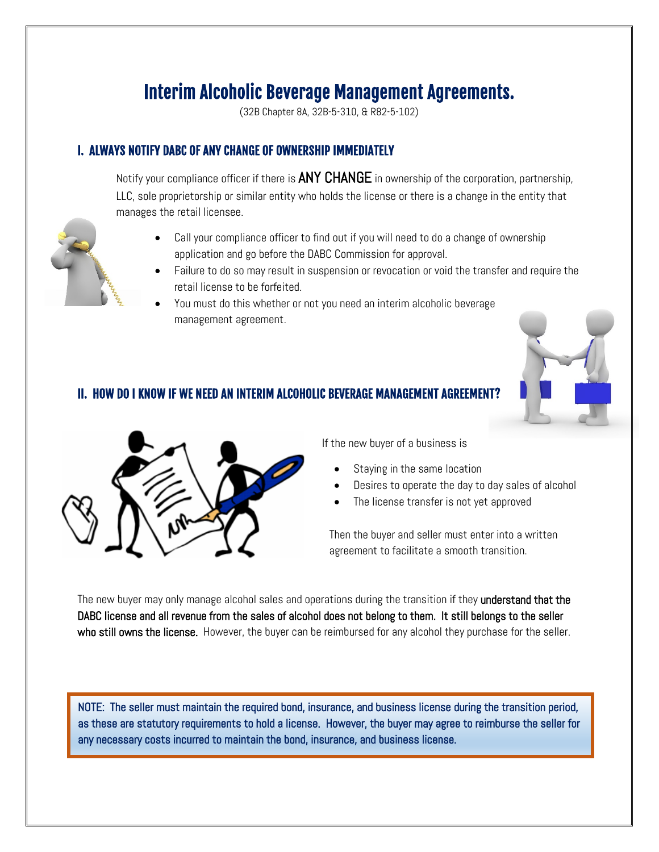# Interim Alcoholic Beverage Management Agreements.

(32B Chapter 8A, 32B-5-310, & R82-5-102)

## I. ALWAYS NOTIFY DABC OF ANY CHANGE OF OWNERSHIP IMMEDIATELY

Notify your compliance officer if there is ANY CHANGE in ownership of the corporation, partnership, LLC, sole proprietorship or similar entity who holds the license or there is a change in the entity that manages the retail licensee.

- Call your compliance officer to find out if you will need to do a change of ownership application and go before the DABC Commission for approval.
- Failure to do so may result in suspension or revocation or void the transfer and require the retail license to be forfeited.
- You must do this whether or not you need an interim alcoholic beverage management agreement.



## II. HOW DO I KNOW IF WE NEED AN INTERIM ALCOHOLIC BEVERAGE MANAGEMENT AGREEMENT?



If the new buyer of a business is

- Staying in the same location
- Desires to operate the day to day sales of alcohol
- The license transfer is not yet approved

Then the buyer and seller must enter into a written agreement to facilitate a smooth transition.

The new buyer may only manage alcohol sales and operations during the transition if they understand that the DABC license and all revenue from the sales of alcohol does not belong to them. It still belongs to the seller who still owns the license. However, the buyer can be reimbursed for any alcohol they purchase for the seller.

NOTE: The seller must maintain the required bond, insurance, and business license during the transition period, as these are statutory requirements to hold a license. However, the buyer may agree to reimburse the seller for any necessary costs incurred to maintain the bond, insurance, and business license.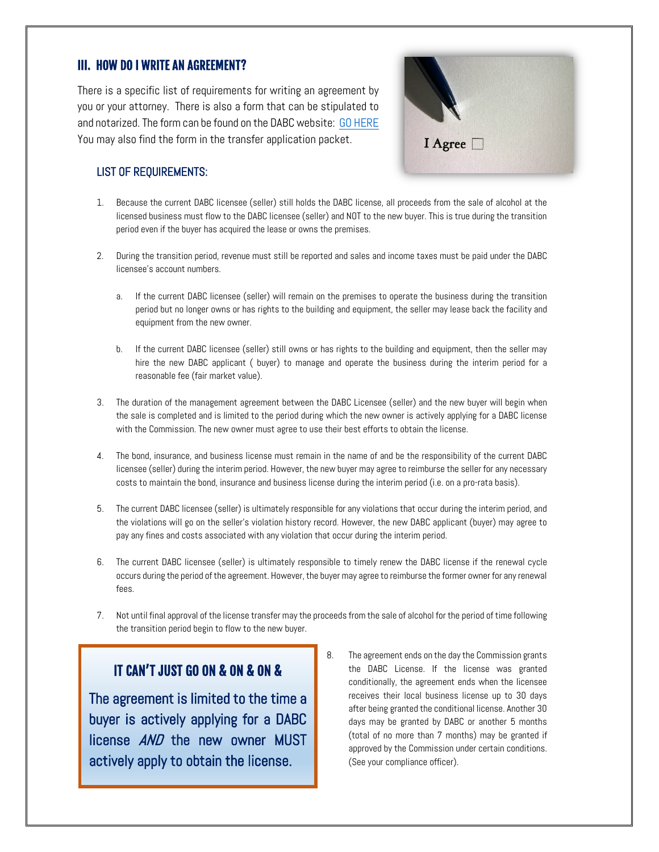## III. HOW DO I WRITE AN AGREEMENT?

There is a specific list of requirements for writing an agreement by you or your attorney. There is also a form that can be stipulated to and notarized. The form can be found on the DABC website: [GO HERE](https://abc.utah.gov/license/documents/Interim%20Management%20Agreement.pdf)  You may also find the form in the transfer application packet.



#### LIST OF REQUIREMENTS:

- 1. Because the current DABC licensee (seller) still holds the DABC license, all proceeds from the sale of alcohol at the licensed business must flow to the DABC licensee (seller) and NOT to the new buyer. This is true during the transition period even if the buyer has acquired the lease or owns the premises.
- 2. During the transition period, revenue must still be reported and sales and income taxes must be paid under the DABC licensee's account numbers.
	- a. If the current DABC licensee (seller) will remain on the premises to operate the business during the transition period but no longer owns or has rights to the building and equipment, the seller may lease back the facility and equipment from the new owner.
	- b. If the current DABC licensee (seller) still owns or has rights to the building and equipment, then the seller may hire the new DABC applicant ( buyer) to manage and operate the business during the interim period for a reasonable fee (fair market value).
- 3. The duration of the management agreement between the DABC Licensee (seller) and the new buyer will begin when the sale is completed and is limited to the period during which the new owner is actively applying for a DABC license with the Commission. The new owner must agree to use their best efforts to obtain the license.
- 4. The bond, insurance, and business license must remain in the name of and be the responsibility of the current DABC licensee (seller) during the interim period. However, the new buyer may agree to reimburse the seller for any necessary costs to maintain the bond, insurance and business license during the interim period (i.e. on a pro-rata basis).
- 5. The current DABC licensee (seller) is ultimately responsible for any violations that occur during the interim period, and the violations will go on the seller's violation history record. However, the new DABC applicant (buyer) may agree to pay any fines and costs associated with any violation that occur during the interim period.
- 6. The current DABC licensee (seller) is ultimately responsible to timely renew the DABC license if the renewal cycle occurs during the period of the agreement. However, the buyer may agree to reimburse the former owner for any renewal fees.
- 7. Not until final approval of the license transfer may the proceeds from the sale of alcohol for the period of time following the transition period begin to flow to the new buyer.

# IT CAN'T JUST GO ON & ON & ON &

The agreement is limited to the time a buyer is actively applying for a DABC license **AND** the new owner MUST actively apply to obtain the license.

8. The agreement ends on the day the Commission grants the DABC License. If the license was granted conditionally, the agreement ends when the licensee receives their local business license up to 30 days after being granted the conditional license. Another 30 days may be granted by DABC or another 5 months (total of no more than 7 months) may be granted if approved by the Commission under certain conditions. (See your compliance officer).